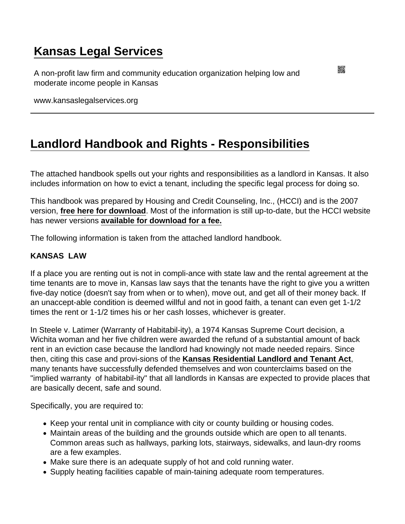# [Kansas Legal Services](https://www.kansaslegalservices.org/)

A non-profit law firm and community education organization helping low and moderate income people in Kansas

www.kansaslegalservices.org

## [Landlord Handbook and Rights - Responsibilities](https://www.kansaslegalservices.org/node/275/landlord-handbook-and-rights-responsibilities)

The attached handbook spells out your rights and responsibilities as a landlord in Kansas. It also includes information on how to evict a tenant, including the specific legal process for doing so.

This handbook was prepared by Housing and Credit Counseling, Inc., (HCCI) and is the 2007 version, [free here for download](https://www.kansaslegalservices.org/sites/kansaslegalservices.org/files/Kansas Landlords Handbook (2007).pdf) . Most of the information is still up-to-date, but the HCCI website has newer versions [available for download for a fee.](https://housingandcredit.org/tools/publications/)

The following information is taken from the attached landlord handbook.

## KANSAS LAW

If a place you are renting out is not in compli-ance with state law and the rental agreement at the time tenants are to move in, Kansas law says that the tenants have the right to give you a written five-day notice (doesn't say from when or to when), move out, and get all of their money back. If an unaccept-able condition is deemed willful and not in good faith, a tenant can even get 1-1/2 times the rent or 1-1/2 times his or her cash losses, whichever is greater.

In Steele v. Latimer (Warranty of Habitabil-ity), a 1974 Kansas Supreme Court decision, a Wichita woman and her five children were awarded the refund of a substantial amount of back rent in an eviction case because the landlord had knowingly not made needed repairs. Since then, citing this case and provi-sions of the [Kansas Residential Landlord and Tenant Act](http://hcci-ks.org/wp-content/uploads/2014/12/LLTENAct2005.pdf), many tenants have successfully defended themselves and won counterclaims based on the "implied warranty of habitabil-ity" that all landlords in Kansas are expected to provide places that are basically decent, safe and sound.

Specifically, you are required to:

- Keep your rental unit in compliance with city or county building or housing codes.
- Maintain areas of the building and the grounds outside which are open to all tenants. Common areas such as hallways, parking lots, stairways, sidewalks, and laun-dry rooms are a few examples.
- Make sure there is an adequate supply of hot and cold running water.
- Supply heating facilities capable of main-taining adequate room temperatures.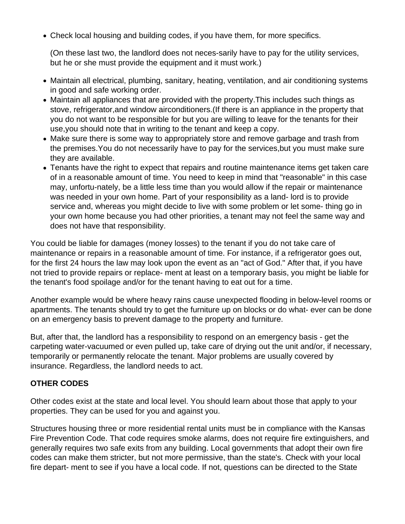Check local housing and building codes, if you have them, for more specifics.

(On these last two, the landlord does not neces-sarily have to pay for the utility services, but he or she must provide the equipment and it must work.)

- Maintain all electrical, plumbing, sanitary, heating, ventilation, and air conditioning systems in good and safe working order.
- Maintain all appliances that are provided with the property.This includes such things as stove, refrigerator,and window airconditioners.(If there is an appliance in the property that you do not want to be responsible for but you are willing to leave for the tenants for their use,you should note that in writing to the tenant and keep a copy.
- Make sure there is some way to appropriately store and remove garbage and trash from the premises.You do not necessarily have to pay for the services,but you must make sure they are available.
- Tenants have the right to expect that repairs and routine maintenance items get taken care of in a reasonable amount of time. You need to keep in mind that "reasonable" in this case may, unfortu-nately, be a little less time than you would allow if the repair or maintenance was needed in your own home. Part of your responsibility as a land- lord is to provide service and, whereas you might decide to live with some problem or let some- thing go in your own home because you had other priorities, a tenant may not feel the same way and does not have that responsibility.

You could be liable for damages (money losses) to the tenant if you do not take care of maintenance or repairs in a reasonable amount of time. For instance, if a refrigerator goes out, for the first 24 hours the law may look upon the event as an "act of God." After that, if you have not tried to provide repairs or replace- ment at least on a temporary basis, you might be liable for the tenant's food spoilage and/or for the tenant having to eat out for a time.

Another example would be where heavy rains cause unexpected flooding in below-level rooms or apartments. The tenants should try to get the furniture up on blocks or do what- ever can be done on an emergency basis to prevent damage to the property and furniture.

But, after that, the landlord has a responsibility to respond on an emergency basis - get the carpeting water-vacuumed or even pulled up, take care of drying out the unit and/or, if necessary, temporarily or permanently relocate the tenant. Major problems are usually covered by insurance. Regardless, the landlord needs to act.

## **OTHER CODES**

Other codes exist at the state and local level. You should learn about those that apply to your properties. They can be used for you and against you.

Structures housing three or more residential rental units must be in compliance with the Kansas Fire Prevention Code. That code requires smoke alarms, does not require fire extinguishers, and generally requires two safe exits from any building. Local governments that adopt their own fire codes can make them stricter, but not more permissive, than the state's. Check with your local fire depart- ment to see if you have a local code. If not, questions can be directed to the State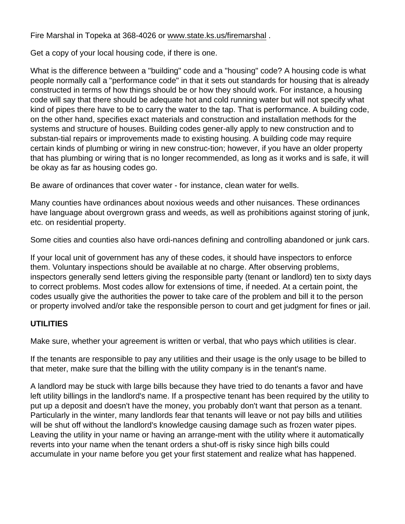Fire Marshal in Topeka at 368-4026 or [www.state.ks.us/firemarshal](http://www.state.ks.us/firemarshal) .

Get a copy of your local housing code, if there is one.

What is the difference between a "building" code and a "housing" code? A housing code is what people normally call a "performance code" in that it sets out standards for housing that is already constructed in terms of how things should be or how they should work. For instance, a housing code will say that there should be adequate hot and cold running water but will not specify what kind of pipes there have to be to carry the water to the tap. That is performance. A building code, on the other hand, specifies exact materials and construction and installation methods for the systems and structure of houses. Building codes gener-ally apply to new construction and to substan-tial repairs or improvements made to existing housing. A building code may require certain kinds of plumbing or wiring in new construc-tion; however, if you have an older property that has plumbing or wiring that is no longer recommended, as long as it works and is safe, it will be okay as far as housing codes go.

Be aware of ordinances that cover water - for instance, clean water for wells.

Many counties have ordinances about noxious weeds and other nuisances. These ordinances have language about overgrown grass and weeds, as well as prohibitions against storing of junk, etc. on residential property.

Some cities and counties also have ordi-nances defining and controlling abandoned or junk cars.

If your local unit of government has any of these codes, it should have inspectors to enforce them. Voluntary inspections should be available at no charge. After observing problems, inspectors generally send letters giving the responsible party (tenant or landlord) ten to sixty days to correct problems. Most codes allow for extensions of time, if needed. At a certain point, the codes usually give the authorities the power to take care of the problem and bill it to the person or property involved and/or take the responsible person to court and get judgment for fines or jail.

## **UTILITIES**

Make sure, whether your agreement is written or verbal, that who pays which utilities is clear.

If the tenants are responsible to pay any utilities and their usage is the only usage to be billed to that meter, make sure that the billing with the utility company is in the tenant's name.

A landlord may be stuck with large bills because they have tried to do tenants a favor and have left utility billings in the landlord's name. If a prospective tenant has been required by the utility to put up a deposit and doesn't have the money, you probably don't want that person as a tenant. Particularly in the winter, many landlords fear that tenants will leave or not pay bills and utilities will be shut off without the landlord's knowledge causing damage such as frozen water pipes. Leaving the utility in your name or having an arrange-ment with the utility where it automatically reverts into your name when the tenant orders a shut-off is risky since high bills could accumulate in your name before you get your first statement and realize what has happened.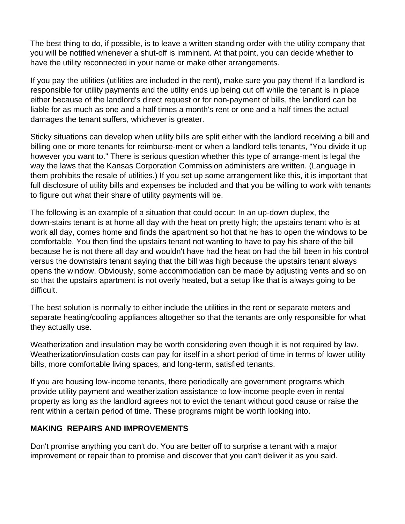The best thing to do, if possible, is to leave a written standing order with the utility company that you will be notified whenever a shut-off is imminent. At that point, you can decide whether to have the utility reconnected in your name or make other arrangements.

If you pay the utilities (utilities are included in the rent), make sure you pay them! If a landlord is responsible for utility payments and the utility ends up being cut off while the tenant is in place either because of the landlord's direct request or for non-payment of bills, the landlord can be liable for as much as one and a half times a month's rent or one and a half times the actual damages the tenant suffers, whichever is greater.

Sticky situations can develop when utility bills are split either with the landlord receiving a bill and billing one or more tenants for reimburse-ment or when a landlord tells tenants, "You divide it up however you want to." There is serious question whether this type of arrange-ment is legal the way the laws that the Kansas Corporation Commission administers are written. (Language in them prohibits the resale of utilities.) If you set up some arrangement like this, it is important that full disclosure of utility bills and expenses be included and that you be willing to work with tenants to figure out what their share of utility payments will be.

The following is an example of a situation that could occur: In an up-down duplex, the down-stairs tenant is at home all day with the heat on pretty high; the upstairs tenant who is at work all day, comes home and finds the apartment so hot that he has to open the windows to be comfortable. You then find the upstairs tenant not wanting to have to pay his share of the bill because he is not there all day and wouldn't have had the heat on had the bill been in his control versus the downstairs tenant saying that the bill was high because the upstairs tenant always opens the window. Obviously, some accommodation can be made by adjusting vents and so on so that the upstairs apartment is not overly heated, but a setup like that is always going to be difficult.

The best solution is normally to either include the utilities in the rent or separate meters and separate heating/cooling appliances altogether so that the tenants are only responsible for what they actually use.

Weatherization and insulation may be worth considering even though it is not required by law. Weatherization/insulation costs can pay for itself in a short period of time in terms of lower utility bills, more comfortable living spaces, and long-term, satisfied tenants.

If you are housing low-income tenants, there periodically are government programs which provide utility payment and weatherization assistance to low-income people even in rental property as long as the landlord agrees not to evict the tenant without good cause or raise the rent within a certain period of time. These programs might be worth looking into.

## **MAKING REPAIRS AND IMPROVEMENTS**

Don't promise anything you can't do. You are better off to surprise a tenant with a major improvement or repair than to promise and discover that you can't deliver it as you said.